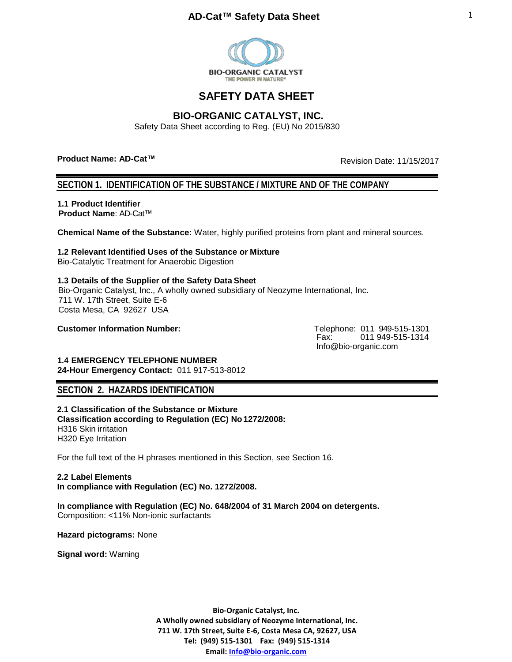

# **SAFETY DATA SHEET**

## **BIO-ORGANIC CATALYST, INC.**

Safety Data Sheet according to Reg. (EU) No 2015/830

**Product Name: AD-Cat™**

Revision Date: 11/15/2017

## **SECTION 1. IDENTIFICATION OF THE SUBSTANCE / MIXTURE AND OF THE COMPANY**

**1.1 Product Identifier Product Name**: AD-Cat™

**Chemical Name of the Substance:** Water, highly purified proteins from plant and mineral sources.

## **1.2 Relevant Identified Uses of the Substance or Mixture**

Bio-Catalytic Treatment for Anaerobic Digestion

## **1.3 Details of the Supplier of the Safety Data Sheet**

Bio-Organic Catalyst, Inc., A wholly owned subsidiary of Neozyme International, Inc. 711 W. 17th Street, Suite E-6 Costa Mesa, CA 92627 USA

**Customer Information Number:** The Customer Customer 11 949-515-1301

Fax: 011 949-515-1314 [Info@bio-organic.com](mailto:Info@bio-organic.com)

#### **1.4 EMERGENCY TELEPHONE NUMBER 24-Hour Emergency Contact:** 011 917-513-8012

# **SECTION 2. HAZARDS IDENTIFICATION**

**2.1 Classification of the Substance or Mixture Classification according to Regulation (EC) No1272/2008:**  H316 Skin irritation H320 Eye Irritation

For the full text of the H phrases mentioned in this Section, see Section 16.

**2.2 Label Elements In compliance with Regulation (EC) No. 1272/2008.** 

**In compliance with Regulation (EC) No. 648/2004 of 31 March 2004 on detergents.** Composition: <11% Non-ionic surfactants

**Hazard pictograms:** None

**Signal word:** Warning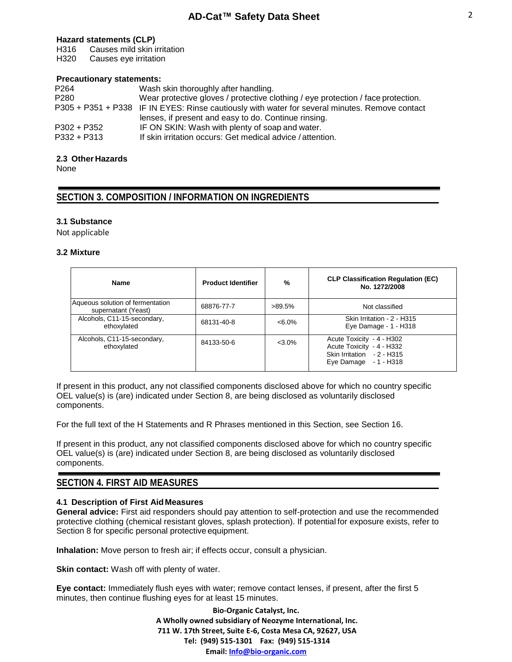### **Hazard statements (CLP)**

H316 Causes mild skin irritation

H320 Causes eye irritation

### **Precautionary statements:**

| P <sub>264</sub> | Wash skin thoroughly after handling.                                                           |
|------------------|------------------------------------------------------------------------------------------------|
| P <sub>280</sub> | Wear protective gloves / protective clothing / eye protection / face protection.               |
|                  | P305 + P351 + P338 IF IN EYES: Rinse cautiously with water for several minutes. Remove contact |
|                  | lenses, if present and easy to do. Continue rinsing.                                           |
| $P302 + P352$    | IF ON SKIN: Wash with plenty of soap and water.                                                |
| $P332 + P313$    | If skin irritation occurs: Get medical advice / attention.                                     |

## **2.3 Other Hazards**

None

## **SECTION 3. COMPOSITION / INFORMATION ON INGREDIENTS**

## **3.1 Substance**

Not applicable

### **3.2 Mixture**

| <b>Name</b>                                             | <b>Product Identifier</b> | %         | <b>CLP Classification Regulation (EC)</b><br>No. 1272/2008                                                    |
|---------------------------------------------------------|---------------------------|-----------|---------------------------------------------------------------------------------------------------------------|
| Aqueous solution of fermentation<br>supernatant (Yeast) | 68876-77-7                | $>89.5\%$ | Not classified                                                                                                |
| Alcohols, C11-15-secondary,<br>ethoxylated              | 68131-40-8                | $< 6.0\%$ | Skin Irritation - 2 - H315<br>Eye Damage - 1 - H318                                                           |
| Alcohols, C11-15-secondary,<br>ethoxylated              | 84133-50-6                | $<$ 3.0%  | Acute Toxicity - 4 - H302<br>Acute Toxicity - 4 - H332<br>Skin Irritation - 2 - H315<br>Eye Damage - 1 - H318 |

If present in this product, any not classified components disclosed above for which no country specific OEL value(s) is (are) indicated under Section 8, are being disclosed as voluntarily disclosed components.

For the full text of the H Statements and R Phrases mentioned in this Section, see Section 16.

If present in this product, any not classified components disclosed above for which no country specific OEL value(s) is (are) indicated under Section 8, are being disclosed as voluntarily disclosed components.

## **SECTION 4. FIRST AID MEASURES**

## **4.1 Description of First Aid Measures**

**General advice:** First aid responders should pay attention to self-protection and use the recommended protective clothing (chemical resistant gloves, splash protection). If potential for exposure exists, refer to Section 8 for specific personal protective equipment.

**Inhalation:** Move person to fresh air; if effects occur, consult a physician.

**Skin contact:** Wash off with plenty of water.

**Eye contact:** Immediately flush eyes with water; remove contact lenses, if present, after the first 5 minutes, then continue flushing eyes for at least 15 minutes.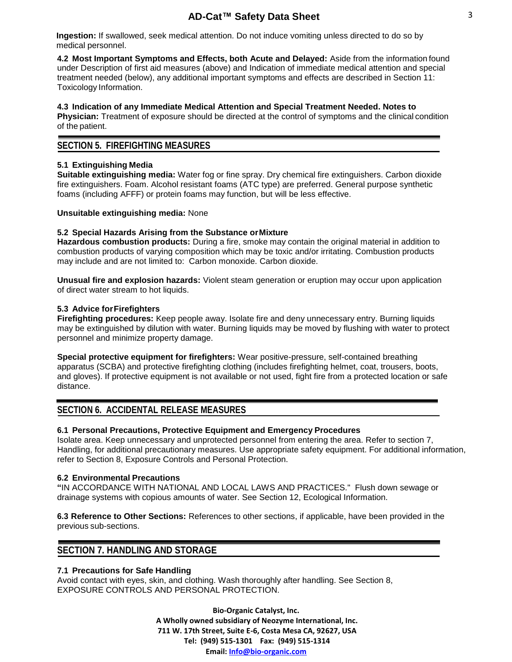**Ingestion:** If swallowed, seek medical attention. Do not induce vomiting unless directed to do so by medical personnel.

**4.2 Most Important Symptoms and Effects, both Acute and Delayed:** Aside from the information found under Description of first aid measures (above) and Indication of immediate medical attention and special treatment needed (below), any additional important symptoms and effects are described in Section 11: Toxicology Information.

#### **4.3 Indication of any Immediate Medical Attention and Special Treatment Needed. Notes to Physician:** Treatment of exposure should be directed at the control of symptoms and the clinical condition

of the patient.

## **SECTION 5. FIREFIGHTING MEASURES**

## **5.1 Extinguishing Media**

**Suitable extinguishing media:** Water fog or fine spray. Dry chemical fire extinguishers. Carbon dioxide fire extinguishers. Foam. Alcohol resistant foams (ATC type) are preferred. General purpose synthetic foams (including AFFF) or protein foams may function, but will be less effective.

## **Unsuitable extinguishing media:** None

## **5.2 Special Hazards Arising from the Substance orMixture**

**Hazardous combustion products:** During a fire, smoke may contain the original material in addition to combustion products of varying composition which may be toxic and/or irritating. Combustion products may include and are not limited to: Carbon monoxide. Carbon dioxide.

**Unusual fire and explosion hazards:** Violent steam generation or eruption may occur upon application of direct water stream to hot liquids.

## **5.3 Advice forFirefighters**

**Firefighting procedures:** Keep people away. Isolate fire and deny unnecessary entry. Burning liquids may be extinguished by dilution with water. Burning liquids may be moved by flushing with water to protect personnel and minimize property damage.

**Special protective equipment for firefighters:** Wear positive-pressure, self-contained breathing apparatus (SCBA) and protective firefighting clothing (includes firefighting helmet, coat, trousers, boots, and gloves). If protective equipment is not available or not used, fight fire from a protected location or safe distance.

## **SECTION 6. ACCIDENTAL RELEASE MEASURES**

## **6.1 Personal Precautions, Protective Equipment and Emergency Procedures**

Isolate area. Keep unnecessary and unprotected personnel from entering the area. Refer to section 7, Handling, for additional precautionary measures. Use appropriate safety equipment. For additional information, refer to Section 8, Exposure Controls and Personal Protection.

## **6.2 Environmental Precautions**

**"**IN ACCORDANCE WITH NATIONAL AND LOCAL LAWS AND PRACTICES." Flush down sewage or drainage systems with copious amounts of water. See Section 12, Ecological Information.

**6.3 Reference to Other Sections:** References to other sections, if applicable, have been provided in the previous sub-sections.

## **SECTION 7. HANDLING AND STORAGE**

## **7.1 Precautions for Safe Handling**

Avoid contact with eyes, skin, and clothing. Wash thoroughly after handling. See Section 8, EXPOSURE CONTROLS AND PERSONAL PROTECTION.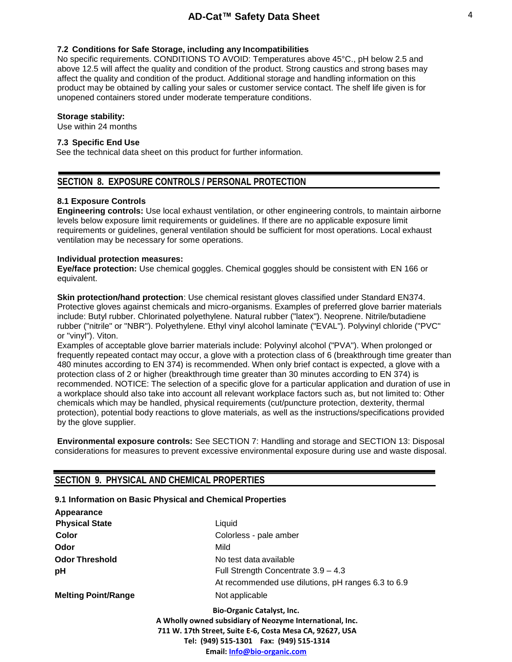#### **7.2 Conditions for Safe Storage, including any Incompatibilities**

No specific requirements. CONDITIONS TO AVOID: Temperatures above 45°C., pH below 2.5 and above 12.5 will affect the quality and condition of the product. Strong caustics and strong bases may affect the quality and condition of the product. Additional storage and handling information on this product may be obtained by calling your sales or customer service contact. The shelf life given is for unopened containers stored under moderate temperature conditions.

#### **Storage stability:**

Use within 24 months

## **7.3 Specific End Use**

See the technical data sheet on this product for further information.

## **SECTION 8. EXPOSURE CONTROLS / PERSONAL PROTECTION**

#### **8.1 Exposure Controls**

**Engineering controls:** Use local exhaust ventilation, or other engineering controls, to maintain airborne levels below exposure limit requirements or guidelines. If there are no applicable exposure limit requirements or guidelines, general ventilation should be sufficient for most operations. Local exhaust ventilation may be necessary for some operations.

#### **Individual protection measures:**

**Eye/face protection:** Use chemical goggles. Chemical goggles should be consistent with EN 166 or equivalent.

**Skin protection/hand protection**: Use chemical resistant gloves classified under Standard EN374. Protective gloves against chemicals and micro-organisms. Examples of preferred glove barrier materials include: Butyl rubber. Chlorinated polyethylene. Natural rubber ("latex"). Neoprene. Nitrile/butadiene rubber ("nitrile" or "NBR"). Polyethylene. Ethyl vinyl alcohol laminate ("EVAL"). Polyvinyl chloride ("PVC" or "vinyl"). Viton.

Examples of acceptable glove barrier materials include: Polyvinyl alcohol ("PVA"). When prolonged or frequently repeated contact may occur, a glove with a protection class of 6 (breakthrough time greater than 480 minutes according to EN 374) is recommended. When only brief contact is expected, a glove with a protection class of 2 or higher (breakthrough time greater than 30 minutes according to EN 374) is recommended. NOTICE: The selection of a specific glove for a particular application and duration of use in a workplace should also take into account all relevant workplace factors such as, but not limited to: Other chemicals which may be handled, physical requirements (cut/puncture protection, dexterity, thermal protection), potential body reactions to glove materials, as well as the instructions/specifications provided by the glove supplier.

**Environmental exposure controls:** See SECTION 7: Handling and storage and SECTION 13: Disposal considerations for measures to prevent excessive environmental exposure during use and waste disposal.

## **SECTION 9. PHYSICAL AND CHEMICAL PROPERTIES**

#### **9.1 Information on Basic Physical and Chemical Properties**

| Appearance                 |                                                                                                                                                                                                                                      |
|----------------------------|--------------------------------------------------------------------------------------------------------------------------------------------------------------------------------------------------------------------------------------|
| <b>Physical State</b>      | Liquid                                                                                                                                                                                                                               |
| Color                      | Colorless - pale amber                                                                                                                                                                                                               |
| Odor                       | Mild                                                                                                                                                                                                                                 |
| <b>Odor Threshold</b>      | No test data available                                                                                                                                                                                                               |
| рH                         | Full Strength Concentrate 3.9 - 4.3                                                                                                                                                                                                  |
|                            | At recommended use dilutions, pH ranges 6.3 to 6.9                                                                                                                                                                                   |
| <b>Melting Point/Range</b> | Not applicable                                                                                                                                                                                                                       |
|                            | <b>Bio-Organic Catalyst, Inc.</b><br>A Wholly owned subsidiary of Neozyme International, Inc.<br>711 W. 17th Street, Suite E-6, Costa Mesa CA, 92627, USA<br>Tel: (949) 515-1301  Fax: (949) 515-1314<br>Email: Info@bio-organic.com |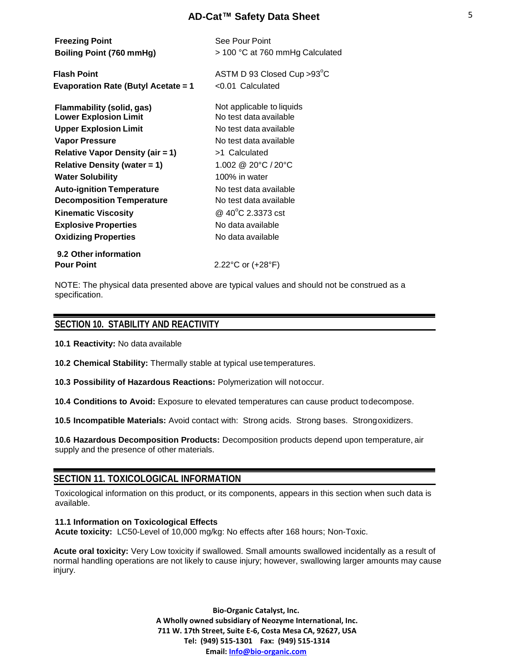| <b>Freezing Point</b><br>Boiling Point (760 mmHg)                | See Pour Point<br>> 100 °C at 760 mmHg Calculated   |
|------------------------------------------------------------------|-----------------------------------------------------|
| <b>Flash Point</b><br><b>Evaporation Rate (Butyl Acetate = 1</b> | ASTM D 93 Closed Cup > 93°C<br>$< 0.01$ Calculated  |
| <b>Flammability (solid, gas)</b><br><b>Lower Explosion Limit</b> | Not applicable to liquids<br>No test data available |
| <b>Upper Explosion Limit</b>                                     | No test data available                              |
| Vapor Pressure                                                   | No test data available                              |
| <b>Relative Vapor Density (air = 1)</b>                          | >1 Calculated                                       |
| Relative Density (water $= 1$ )                                  | 1.002 @ 20 $\degree$ C / 20 $\degree$ C             |
| <b>Water Solubility</b>                                          | 100% in water                                       |
| <b>Auto-ignition Temperature</b>                                 | No test data available                              |
| <b>Decomposition Temperature</b>                                 | No test data available                              |
| <b>Kinematic Viscosity</b>                                       | @ 40°C 2.3373 cst                                   |
| <b>Explosive Properties</b>                                      | No data available                                   |
| <b>Oxidizing Properties</b>                                      | No data available                                   |
| 9.2 Other information                                            |                                                     |
| <b>Pour Point</b>                                                | 2.22°C or (+28°F)                                   |

NOTE: The physical data presented above are typical values and should not be construed as a specification.

## **SECTION 10. STABILITY AND REACTIVITY**

**10.1 Reactivity:** No data available

**10.2 Chemical Stability:** Thermally stable at typical usetemperatures.

**10.3 Possibility of Hazardous Reactions:** Polymerization will notoccur.

**10.4 Conditions to Avoid:** Exposure to elevated temperatures can cause product todecompose.

**10.5 Incompatible Materials:** Avoid contact with: Strong acids. Strong bases. Strongoxidizers.

**10.6 Hazardous Decomposition Products:** Decomposition products depend upon temperature, air supply and the presence of other materials.

## **SECTION 11. TOXICOLOGICAL INFORMATION**

Toxicological information on this product, or its components, appears in this section when such data is available.

### **11.1 Information on Toxicological Effects Acute toxicity:** LC50-Level of 10,000 mg/kg: No effects after 168 hours; Non-Toxic.

**Acute oral toxicity:** Very Low toxicity if swallowed. Small amounts swallowed incidentally as a result of normal handling operations are not likely to cause injury; however, swallowing larger amounts may cause injury.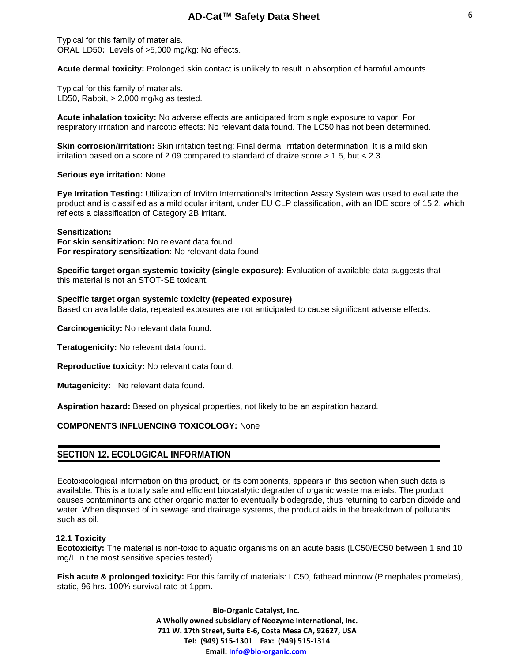Typical for this family of materials. ORAL LD50**:** Levels of >5,000 mg/kg: No effects.

**Acute dermal toxicity:** Prolonged skin contact is unlikely to result in absorption of harmful amounts.

Typical for this family of materials. LD50, Rabbit, > 2,000 mg/kg as tested.

**Acute inhalation toxicity:** No adverse effects are anticipated from single exposure to vapor. For respiratory irritation and narcotic effects: No relevant data found. The LC50 has not been determined.

**Skin corrosion/irritation:** Skin irritation testing: Final dermal irritation determination, It is a mild skin irritation based on a score of 2.09 compared to standard of draize score > 1.5, but < 2.3.

#### **Serious eye irritation:** None

**Eye Irritation Testing:** Utilization of InVitro International's Irritection Assay System was used to evaluate the product and is classified as a mild ocular irritant, under EU CLP classification, with an IDE score of 15.2, which reflects a classification of Category 2B irritant.

#### **Sensitization:**

**For skin sensitization:** No relevant data found. **For respiratory sensitization**: No relevant data found.

**Specific target organ systemic toxicity (single exposure):** Evaluation of available data suggests that this material is not an STOT-SE toxicant.

#### **Specific target organ systemic toxicity (repeated exposure)**

Based on available data, repeated exposures are not anticipated to cause significant adverse effects.

**Carcinogenicity:** No relevant data found.

**Teratogenicity:** No relevant data found.

**Reproductive toxicity:** No relevant data found.

**Mutagenicity:** No relevant data found.

**Aspiration hazard:** Based on physical properties, not likely to be an aspiration hazard.

### **COMPONENTS INFLUENCING TOXICOLOGY:** None

## **SECTION 12. ECOLOGICAL INFORMATION**

Ecotoxicological information on this product, or its components, appears in this section when such data is available. This is a totally safe and efficient biocatalytic degrader of organic waste materials. The product causes contaminants and other organic matter to eventually biodegrade, thus returning to carbon dioxide and water. When disposed of in sewage and drainage systems, the product aids in the breakdown of pollutants such as oil.

### **12.1 Toxicity**

**Ecotoxicity:** The material is non-toxic to aquatic organisms on an acute basis (LC50/EC50 between 1 and 10 mg/L in the most sensitive species tested).

**Fish acute & prolonged toxicity:** For this family of materials: LC50, fathead minnow (Pimephales promelas), static, 96 hrs. 100% survival rate at 1ppm.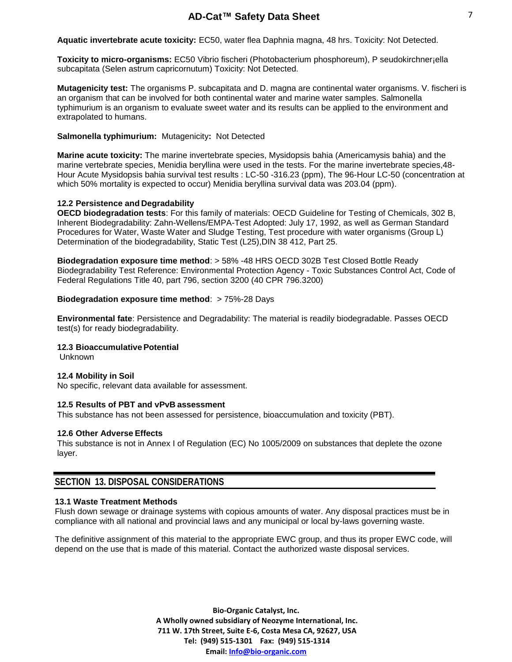**Aquatic invertebrate acute toxicity:** EC50, water flea Daphnia magna, 48 hrs. Toxicity: Not Detected.

**Toxicity to micro-organisms:** EC50 Vibrio fischeri (Photobacterium phosphoreum), P seudokirchner¡ella subcapitata (Selen astrum capricornutum) Toxicity: Not Detected.

**Mutagenicity test:** The organisms P. subcapitata and D. magna are continental water organisms. V. fischeri is an organism that can be involved for both continental water and marine water samples. Salmonella typhimurium is an organism to evaluate sweet water and its results can be applied to the environment and extrapolated to humans.

### **Salmonella typhimurium:** Mutagenicity**:** Not Detected

**Marine acute toxicity:** The marine invertebrate species, Mysidopsis bahia (Americamysis bahia) and the marine vertebrate species, Menidia beryllina were used in the tests. For the marine invertebrate species,48- Hour Acute Mysidopsis bahia survival test results : LC-50 -316.23 (ppm), The 96-Hour LC-50 (concentration at which 50% mortality is expected to occur) Menidia beryllina survival data was 203.04 (ppm).

## **12.2 Persistence and Degradability**

**OECD biodegradation tests**: For this family of materials: OECD Guideline for Testing of Chemicals, 302 B, Inherent Biodegradability: Zahn-Wellens/EMPA-Test Adopted: July 17, 1992, as well as German Standard Procedures for Water, Waste Water and Sludge Testing, Test procedure with water organisms (Group L) Determination of the biodegradability, Static Test (L25),DIN 38 412, Part 25.

**Biodegradation exposure time method**: > 58% -48 HRS OECD 302B Test Closed Bottle Ready Biodegradability Test Reference: Environmental Protection Agency - Toxic Substances Control Act, Code of Federal Regulations Title 40, part 796, section 3200 (40 CPR 796.3200)

## **Biodegradation exposure time method: > 75%-28 Days**

**Environmental fate**: Persistence and Degradability: The material is readily biodegradable. Passes OECD test(s) for ready biodegradability.

### **12.3 BioaccumulativePotential**

Unknown

### **12.4 Mobility in Soil**

No specific, relevant data available for assessment.

### **12.5 Results of PBT and vPvB assessment**

This substance has not been assessed for persistence, bioaccumulation and toxicity (PBT).

### **12.6 Other Adverse Effects**

This substance is not in Annex I of Regulation (EC) No 1005/2009 on substances that deplete the ozone layer.

## **SECTION 13. DISPOSAL CONSIDERATIONS**

### **13.1 Waste Treatment Methods**

Flush down sewage or drainage systems with copious amounts of water. Any disposal practices must be in compliance with all national and provincial laws and any municipal or local by-laws governing waste.

The definitive assignment of this material to the appropriate EWC group, and thus its proper EWC code, will depend on the use that is made of this material. Contact the authorized waste disposal services.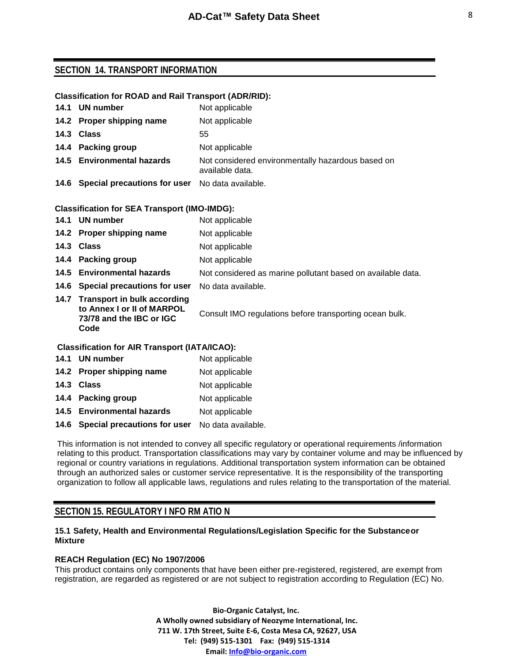## **SECTION 14. TRANSPORT INFORMATION**

### **Classification for ROAD and Rail Transport (ADR/RID):**

| 14.1 UN number                                       | Not applicable                                                       |
|------------------------------------------------------|----------------------------------------------------------------------|
| 14.2 Proper shipping name                            | Not applicable                                                       |
| 14.3 Class                                           | 55                                                                   |
| 14.4 Packing group                                   | Not applicable                                                       |
| 14.5 Environmental hazards                           | Not considered environmentally hazardous based on<br>available data. |
| 14.6 Special precautions for user No data available. |                                                                      |

### **Classification for SEA Transport (IMO-IMDG):**

| 14.1                                                 | UN number                                                                                          | Not applicable                                              |
|------------------------------------------------------|----------------------------------------------------------------------------------------------------|-------------------------------------------------------------|
|                                                      | 14.2 Proper shipping name                                                                          | Not applicable                                              |
|                                                      | 14.3 Class                                                                                         | Not applicable                                              |
|                                                      | 14.4 Packing group                                                                                 | Not applicable                                              |
|                                                      | 14.5 Environmental hazards                                                                         | Not considered as marine pollutant based on available data. |
|                                                      | 14.6 Special precautions for user                                                                  | No data available.                                          |
|                                                      | 14.7 Transport in bulk according<br>to Annex I or II of MARPOL<br>73/78 and the IBC or IGC<br>Code | Consult IMO regulations before transporting ocean bulk.     |
| <b>Classification for AIR Transport (IATA/ICAO):</b> |                                                                                                    |                                                             |

| 14.1 UN number                                       | Not applicable |
|------------------------------------------------------|----------------|
| 14.2 Proper shipping name                            | Not applicable |
| 14.3 Class                                           | Not applicable |
| 14.4 Packing group                                   | Not applicable |
| 14.5 Environmental hazards                           | Not applicable |
| 14.6 Special precautions for user No data available. |                |

This information is not intended to convey all specific regulatory or operational requirements /information relating to this product. Transportation classifications may vary by container volume and may be influenced by regional or country variations in regulations. Additional transportation system information can be obtained through an authorized sales or customer service representative. It is the responsibility of the transporting organization to follow all applicable laws, regulations and rules relating to the transportation of the material.

## **SECTION 15. REGULATORY I NFO RM ATIO N**

## **15.1 Safety, Health and Environmental Regulations/Legislation Specific for the Substanceor Mixture**

## **REACH Regulation (EC) No 1907/2006**

This product contains only components that have been either pre-registered, registered, are exempt from registration, are regarded as registered or are not subject to registration according to Regulation (EC) No.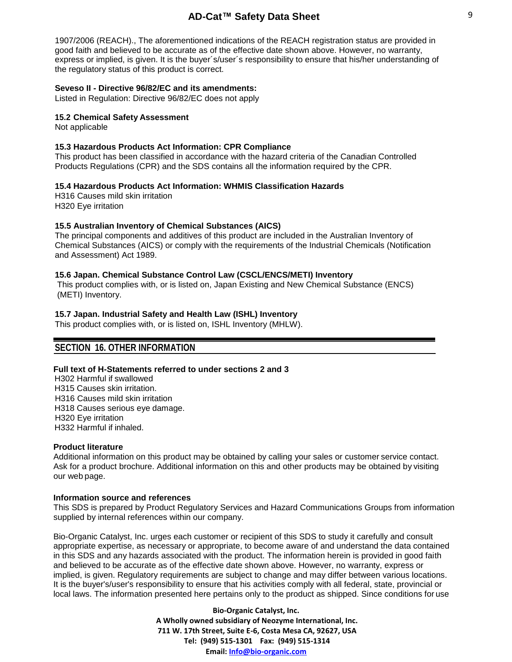1907/2006 (REACH)., The aforementioned indications of the REACH registration status are provided in good faith and believed to be accurate as of the effective date shown above. However, no warranty, express or implied, is given. It is the buyer´s/user´s responsibility to ensure that his/her understanding of the regulatory status of this product is correct.

### **Seveso II - Directive 96/82/EC and its amendments:**

Listed in Regulation: Directive 96/82/EC does not apply

#### **15.2 Chemical Safety Assessment**

Not applicable

#### **15.3 Hazardous Products Act Information: CPR Compliance**

This product has been classified in accordance with the hazard criteria of the Canadian Controlled Products Regulations (CPR) and the SDS contains all the information required by the CPR.

#### **15.4 Hazardous Products Act Information: WHMIS Classification Hazards**

H316 Causes mild skin irritation H320 Eye irritation

#### **15.5 Australian Inventory of Chemical Substances (AICS)**

The principal components and additives of this product are included in the Australian Inventory of Chemical Substances (AICS) or comply with the requirements of the Industrial Chemicals (Notification and Assessment) Act 1989.

#### **15.6 Japan. Chemical Substance Control Law (CSCL/ENCS/METI) Inventory**

This product complies with, or is listed on, Japan Existing and New Chemical Substance (ENCS) (METI) Inventory.

#### **15.7 Japan. Industrial Safety and Health Law (ISHL) Inventory**

This product complies with, or is listed on, ISHL Inventory (MHLW).

## **SECTION 16. OTHER INFORMATION**

#### **Full text of H-Statements referred to under sections 2 and 3**

 H302 Harmful if swallowed H315 Causes skin irritation. H316 Causes mild skin irritation H318 Causes serious eye damage. H320 Eye irritation H332 Harmful if inhaled.

#### **Product literature**

Additional information on this product may be obtained by calling your sales or customer service contact. Ask for a product brochure. Additional information on this and other products may be obtained by visiting our web page.

#### **Information source and references**

This SDS is prepared by Product Regulatory Services and Hazard Communications Groups from information supplied by internal references within our company.

Bio-Organic Catalyst, Inc. urges each customer or recipient of this SDS to study it carefully and consult appropriate expertise, as necessary or appropriate, to become aware of and understand the data contained in this SDS and any hazards associated with the product. The information herein is provided in good faith and believed to be accurate as of the effective date shown above. However, no warranty, express or implied, is given. Regulatory requirements are subject to change and may differ between various locations. It is the buyer's/user's responsibility to ensure that his activities comply with all federal, state, provincial or local laws. The information presented here pertains only to the product as shipped. Since conditions for use